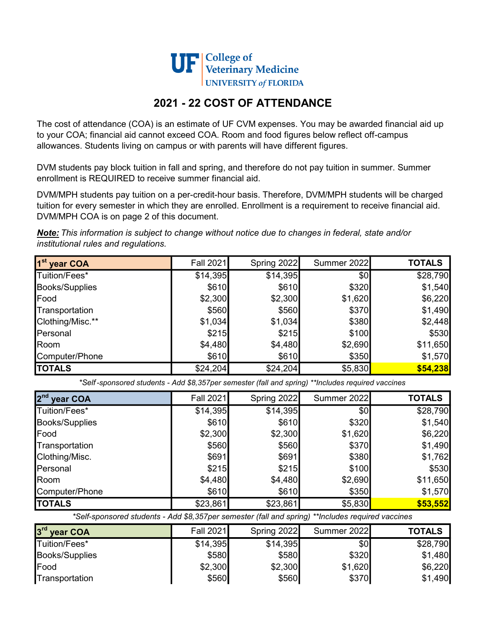

## 2021 - 22 COST OF ATTENDANCE

The cost of attendance (COA) is an estimate of UF CVM expenses. You may be awarded financial aid up to your COA; financial aid cannot exceed COA. Room and food figures below reflect off-campus allowances. Students living on campus or with parents will have different figures.

DVM students pay block tuition in fall and spring, and therefore do not pay tuition in summer. Summer enrollment is REQUIRED to receive summer financial aid.

DVM/MPH students pay tuition on a per-credit-hour basis. Therefore, DVM/MPH students will be charged tuition for every semester in which they are enrolled. Enrollment is a requirement to receive financial aid. DVM/MPH COA is on page 2 of this document.

Note: This information is subject to change without notice due to changes in federal, state and/or institutional rules and regulations.

| 1 <sup>st</sup> year COA | Fall 2021 | Spring 2022 | Summer 2022 | <b>TOTALS</b> |
|--------------------------|-----------|-------------|-------------|---------------|
| Tuition/Fees*            | \$14,395  | \$14,395    | \$0         | \$28,790      |
| <b>Books/Supplies</b>    | \$610     | \$610       | \$320       | \$1,540       |
| Food                     | \$2,300   | \$2,300     | \$1,620     | \$6,220       |
| Transportation           | \$560     | \$560       | \$370       | \$1,490       |
| Clothing/Misc.**         | \$1,034   | \$1,034     | \$380       | \$2,448       |
| Personal                 | \$215     | \$215       | \$100       | \$530         |
| Room                     | \$4,480   | \$4,480     | \$2,690     | \$11,650      |
| Computer/Phone           | \$610     | \$610       | \$350       | \$1,570       |
| <b>TOTALS</b>            | \$24,204  | \$24,204    | \$5,830     | \$54,238      |

\*Self -sponsored students - Add \$8,357per semester (fall and spring) \*\*Includes required vaccines

| 2 <sup>nd</sup><br>year COA | Fall 2021 | Spring 2022 | Summer 2022 | <b>TOTALS</b> |
|-----------------------------|-----------|-------------|-------------|---------------|
| Tuition/Fees*               | \$14,395  | \$14,395    | \$0         | \$28,790      |
| <b>Books/Supplies</b>       | \$610     | \$610       | \$320       | \$1,540       |
| Food                        | \$2,300   | \$2,300     | \$1,620     | \$6,220       |
| Transportation              | \$560     | \$560       | \$370       | \$1,490       |
| Clothing/Misc.              | \$691     | \$691       | \$380       | \$1,762       |
| Personal                    | \$215     | \$215       | \$100       | \$530         |
| Room                        | \$4,480   | \$4,480     | \$2,690     | \$11,650      |
| Computer/Phone              | \$610     | \$610       | \$350       | \$1,570       |
| <b>TOTALS</b>               | \$23,861  | \$23,861    | \$5,830     | \$53,552      |

\*Self-sponsored students - Add \$8,357per semester (fall and spring) \*\*Includes required vaccines

| 3 <sup>rd</sup><br><b>vear COA</b> | Fall 2021 | Spring 2022 | Summer 2022 | <b>TOTALS</b> |
|------------------------------------|-----------|-------------|-------------|---------------|
| Tuition/Fees*                      | \$14,395  | \$14,395    | \$0         | \$28,790      |
| <b>Books/Supplies</b>              | \$580     | \$580       | \$320       | \$1,480       |
| <b>IFood</b>                       | \$2,300   | \$2,300     | \$1,620     | \$6,220       |
| Transportation                     | \$560     | \$560       | \$370       | \$1,490       |